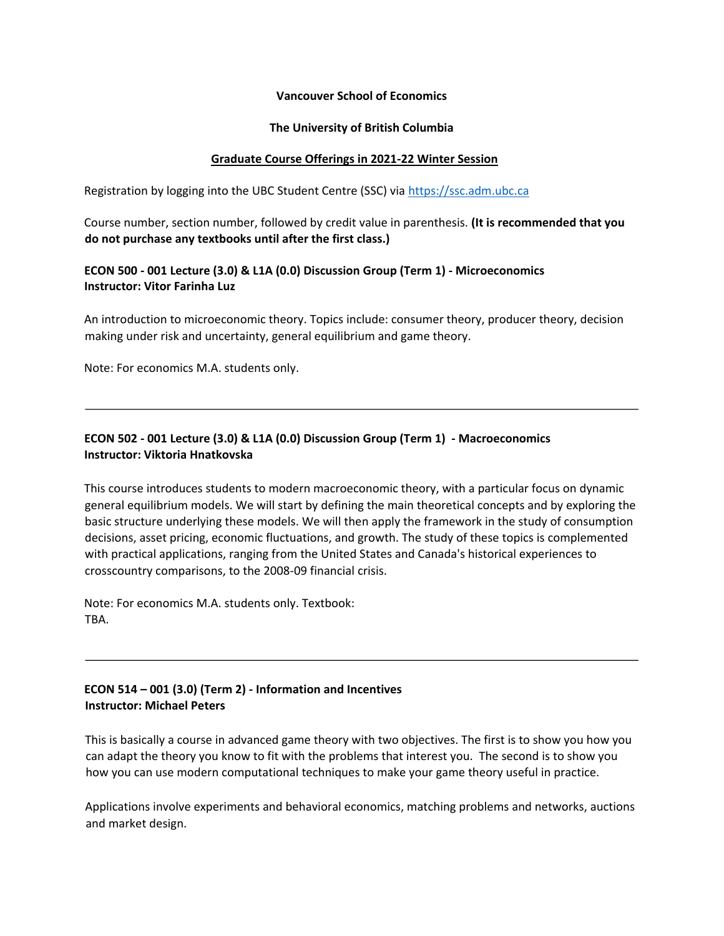#### **Vancouver School of Economics**

#### **The University of British Columbia**

#### **Graduate Course Offerings in 2021-22 Winter Session**

Registration by logging into the UBC Student Centre (SSC) via [https://ssc.adm.ubc.ca](https://ssc.adm.ubc.ca/)

Course number, section number, followed by credit value in parenthesis. **(It is recommended that you do not purchase any textbooks until after the first class.)** 

### **ECON 500 - 001 Lecture (3.0) & L1A (0.0) Discussion Group (Term 1) - Microeconomics Instructor: Vitor Farinha Luz**

An introduction to microeconomic theory. Topics include: consumer theory, producer theory, decision making under risk and uncertainty, general equilibrium and game theory.

Note: For economics M.A. students only.

## **ECON 502 - 001 Lecture (3.0) & L1A (0.0) Discussion Group (Term 1) - Macroeconomics Instructor: Viktoria Hnatkovska**

This course introduces students to modern macroeconomic theory, with a particular focus on dynamic general equilibrium models. We will start by defining the main theoretical concepts and by exploring the basic structure underlying these models. We will then apply the framework in the study of consumption decisions, asset pricing, economic fluctuations, and growth. The study of these topics is complemented with practical applications, ranging from the United States and Canada's historical experiences to crosscountry comparisons, to the 2008-09 financial crisis.

Note: For economics M.A. students only. Textbook: TBA.

## **ECON 514 – 001 (3.0) (Term 2) - Information and Incentives Instructor: Michael Peters**

This is basically a course in advanced game theory with two objectives. The first is to show you how you can adapt the theory you know to fit with the problems that interest you. The second is to show you how you can use modern computational techniques to make your game theory useful in practice.

Applications involve experiments and behavioral economics, matching problems and networks, auctions and market design.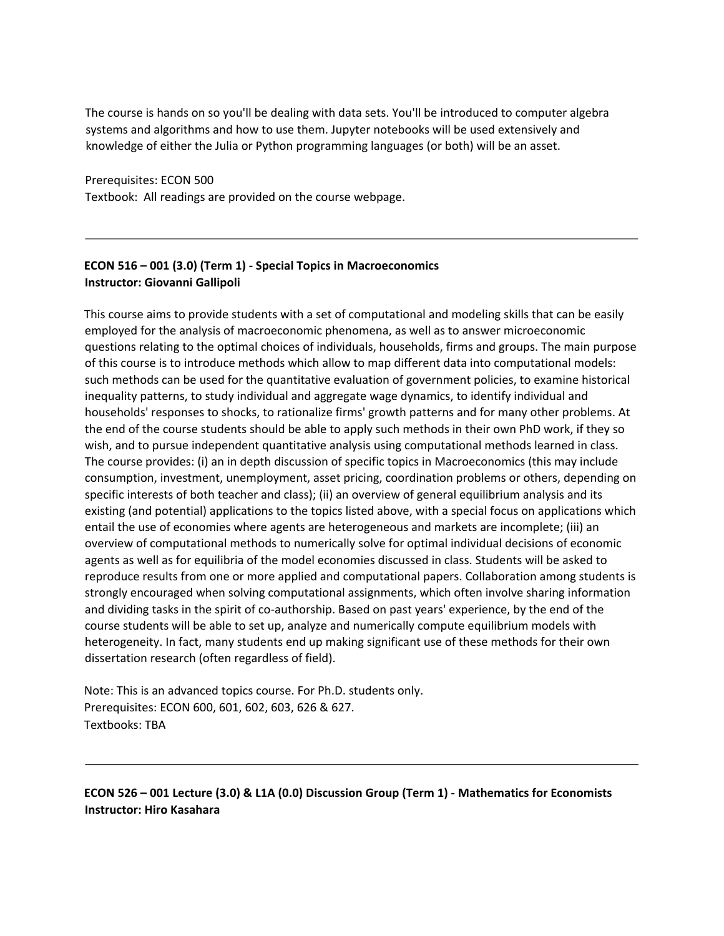The course is hands on so you'll be dealing with data sets. You'll be introduced to computer algebra systems and algorithms and how to use them. Jupyter notebooks will be used extensively and knowledge of either the Julia or Python programming languages (or both) will be an asset.

Prerequisites: ECON 500

Textbook: All readings are provided on the course webpage.

## **ECON 516 – 001 (3.0) (Term 1) - Special Topics in Macroeconomics Instructor: Giovanni Gallipoli**

This course aims to provide students with a set of computational and modeling skills that can be easily employed for the analysis of macroeconomic phenomena, as well as to answer microeconomic questions relating to the optimal choices of individuals, households, firms and groups. The main purpose of this course is to introduce methods which allow to map different data into computational models: such methods can be used for the quantitative evaluation of government policies, to examine historical inequality patterns, to study individual and aggregate wage dynamics, to identify individual and households' responses to shocks, to rationalize firms' growth patterns and for many other problems. At the end of the course students should be able to apply such methods in their own PhD work, if they so wish, and to pursue independent quantitative analysis using computational methods learned in class. The course provides: (i) an in depth discussion of specific topics in Macroeconomics (this may include consumption, investment, unemployment, asset pricing, coordination problems or others, depending on specific interests of both teacher and class); (ii) an overview of general equilibrium analysis and its existing (and potential) applications to the topics listed above, with a special focus on applications which entail the use of economies where agents are heterogeneous and markets are incomplete; (iii) an overview of computational methods to numerically solve for optimal individual decisions of economic agents as well as for equilibria of the model economies discussed in class. Students will be asked to reproduce results from one or more applied and computational papers. Collaboration among students is strongly encouraged when solving computational assignments, which often involve sharing information and dividing tasks in the spirit of co-authorship. Based on past years' experience, by the end of the course students will be able to set up, analyze and numerically compute equilibrium models with heterogeneity. In fact, many students end up making significant use of these methods for their own dissertation research (often regardless of field).

Note: This is an advanced topics course. For Ph.D. students only. Prerequisites: ECON 600, 601, 602, 603, 626 & 627. Textbooks: TBA

**ECON 526 – 001 Lecture (3.0) & L1A (0.0) Discussion Group (Term 1) - Mathematics for Economists Instructor: Hiro Kasahara**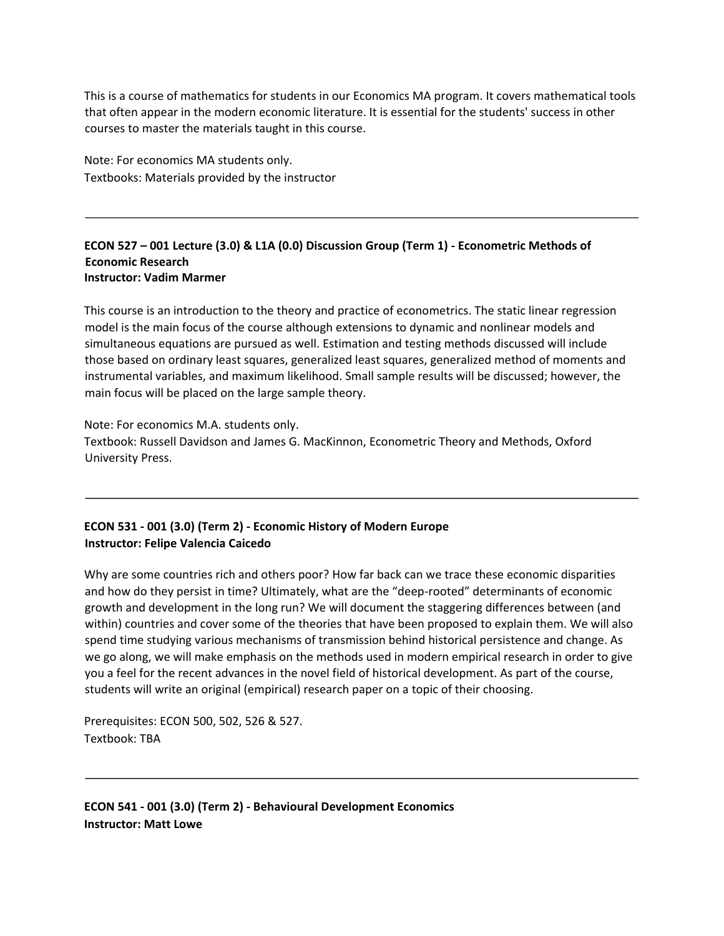This is a course of mathematics for students in our Economics MA program. It covers mathematical tools that often appear in the modern economic literature. It is essential for the students' success in other courses to master the materials taught in this course.

Note: For economics MA students only. Textbooks: Materials provided by the instructor

#### **ECON 527 – 001 Lecture (3.0) & L1A (0.0) Discussion Group (Term 1) - Econometric Methods of Economic Research Instructor: Vadim Marmer**

This course is an introduction to the theory and practice of econometrics. The static linear regression model is the main focus of the course although extensions to dynamic and nonlinear models and simultaneous equations are pursued as well. Estimation and testing methods discussed will include those based on ordinary least squares, generalized least squares, generalized method of moments and instrumental variables, and maximum likelihood. Small sample results will be discussed; however, the main focus will be placed on the large sample theory.

Note: For economics M.A. students only. Textbook: Russell Davidson and James G. MacKinnon, Econometric Theory and Methods, Oxford University Press.

# **ECON 531 - 001 (3.0) (Term 2) - Economic History of Modern Europe Instructor: Felipe Valencia Caicedo**

Why are some countries rich and others poor? How far back can we trace these economic disparities and how do they persist in time? Ultimately, what are the "deep-rooted" determinants of economic growth and development in the long run? We will document the staggering differences between (and within) countries and cover some of the theories that have been proposed to explain them. We will also spend time studying various mechanisms of transmission behind historical persistence and change. As we go along, we will make emphasis on the methods used in modern empirical research in order to give you a feel for the recent advances in the novel field of historical development. As part of the course, students will write an original (empirical) research paper on a topic of their choosing.

Prerequisites: ECON 500, 502, 526 & 527. Textbook: TBA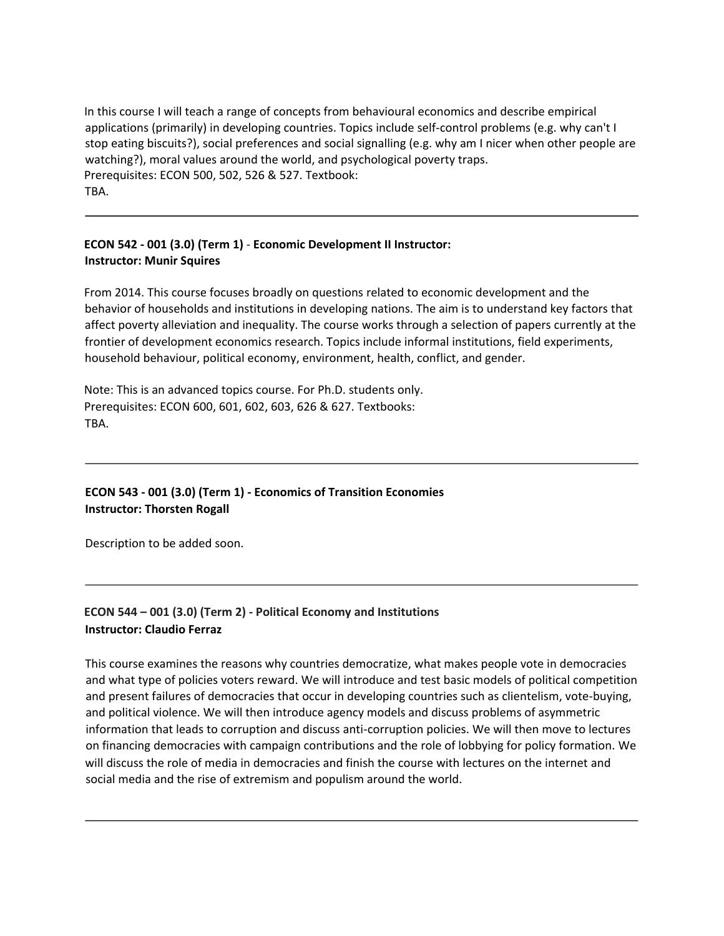In this course I will teach a range of concepts from behavioural economics and describe empirical applications (primarily) in developing countries. Topics include self-control problems (e.g. why can't I stop eating biscuits?), social preferences and social signalling (e.g. why am I nicer when other people are watching?), moral values around the world, and psychological poverty traps. Prerequisites: ECON 500, 502, 526 & 527. Textbook: TBA.

# **ECON 542 - 001 (3.0) (Term 1)** - **Economic Development II Instructor: Instructor: Munir Squires**

From 2014. This course focuses broadly on questions related to economic development and the behavior of households and institutions in developing nations. The aim is to understand key factors that affect poverty alleviation and inequality. The course works through a selection of papers currently at the frontier of development economics research. Topics include informal institutions, field experiments, household behaviour, political economy, environment, health, conflict, and gender.

Note: This is an advanced topics course. For Ph.D. students only. Prerequisites: ECON 600, 601, 602, 603, 626 & 627. Textbooks: TBA.

# **ECON 543 - 001 (3.0) (Term 1) - Economics of Transition Economies Instructor: Thorsten Rogall**

Description to be added soon.

# **ECON 544 – 001 (3.0) (Term 2) - Political Economy and Institutions Instructor: Claudio Ferraz**

This course examines the reasons why countries democratize, what makes people vote in democracies and what type of policies voters reward. We will introduce and test basic models of political competition and present failures of democracies that occur in developing countries such as clientelism, vote-buying, and political violence. We will then introduce agency models and discuss problems of asymmetric information that leads to corruption and discuss anti-corruption policies. We will then move to lectures on financing democracies with campaign contributions and the role of lobbying for policy formation. We will discuss the role of media in democracies and finish the course with lectures on the internet and social media and the rise of extremism and populism around the world.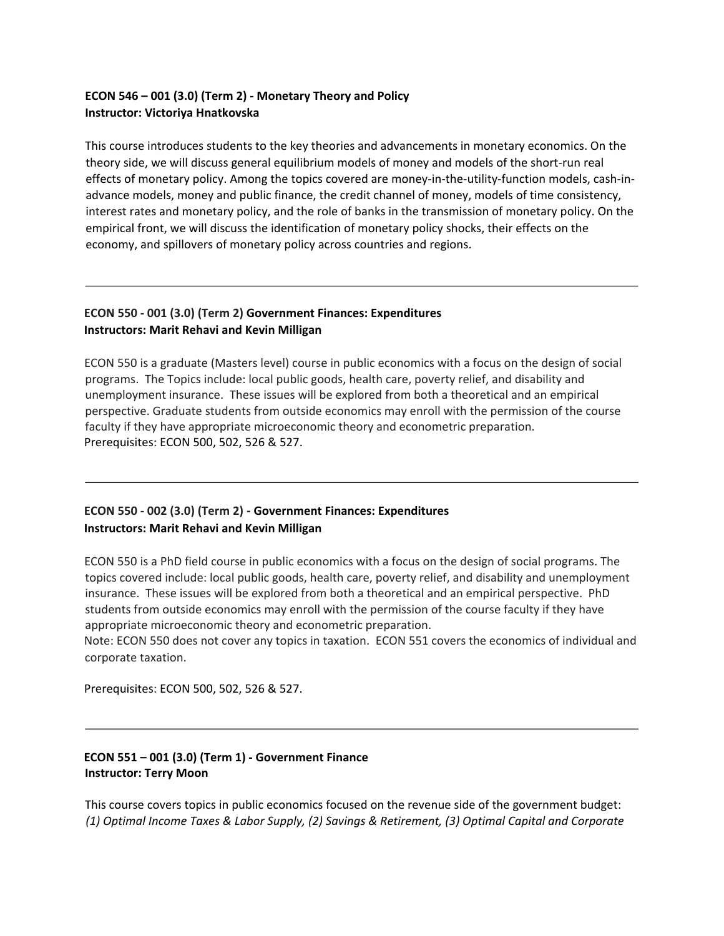## **ECON 546 – 001 (3.0) (Term 2) - Monetary Theory and Policy Instructor: Victoriya Hnatkovska**

This course introduces students to the key theories and advancements in monetary economics. On the theory side, we will discuss general equilibrium models of money and models of the short-run real effects of monetary policy. Among the topics covered are money-in-the-utility-function models, cash-inadvance models, money and public finance, the credit channel of money, models of time consistency, interest rates and monetary policy, and the role of banks in the transmission of monetary policy. On the empirical front, we will discuss the identification of monetary policy shocks, their effects on the economy, and spillovers of monetary policy across countries and regions.

### **ECON 550 - 001 (3.0) (Term 2) Government Finances: Expenditures Instructors: Marit Rehavi and Kevin Milligan**

ECON 550 is a graduate (Masters level) course in public economics with a focus on the design of social programs. The Topics include: local public goods, health care, poverty relief, and disability and unemployment insurance. These issues will be explored from both a theoretical and an empirical perspective. Graduate students from outside economics may enroll with the permission of the course faculty if they have appropriate microeconomic theory and econometric preparation. Prerequisites: ECON 500, 502, 526 & 527.

# **ECON 550 - 002 (3.0) (Term 2) - Government Finances: Expenditures Instructors: Marit Rehavi and Kevin Milligan**

ECON 550 is a PhD field course in public economics with a focus on the design of social programs. The topics covered include: local public goods, health care, poverty relief, and disability and unemployment insurance. These issues will be explored from both a theoretical and an empirical perspective. PhD students from outside economics may enroll with the permission of the course faculty if they have appropriate microeconomic theory and econometric preparation.

Note: ECON 550 does not cover any topics in taxation. ECON 551 covers the economics of individual and corporate taxation.

Prerequisites: ECON 500, 502, 526 & 527.

# **ECON 551 – 001 (3.0) (Term 1) - Government Finance Instructor: Terry Moon**

This course covers topics in public economics focused on the revenue side of the government budget: *(1) Optimal Income Taxes & Labor Supply, (2) Savings & Retirement, (3) Optimal Capital and Corporate*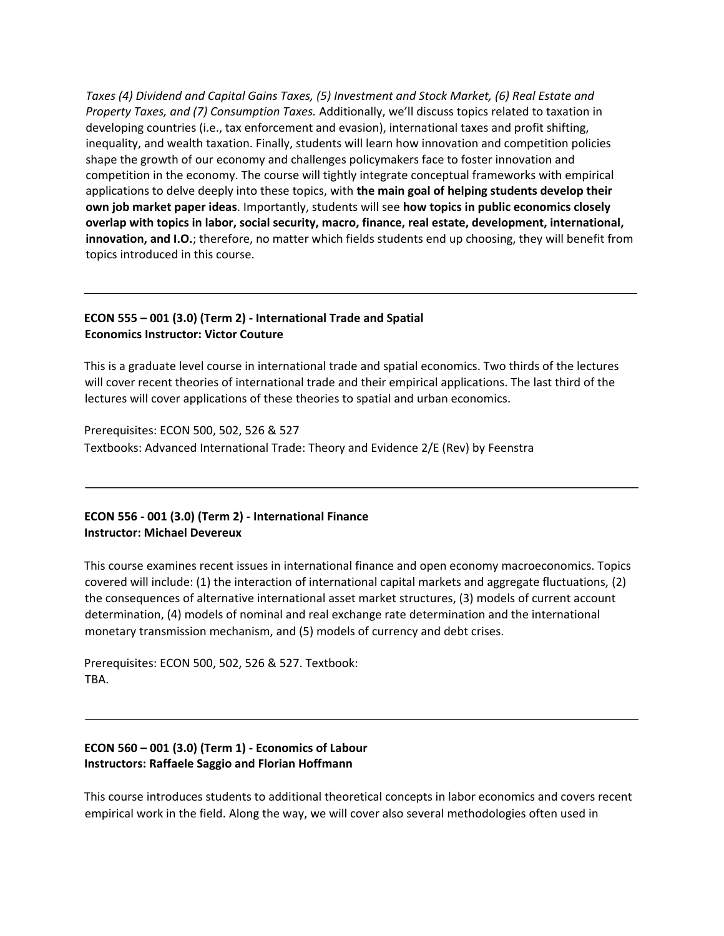*Taxes (4) Dividend and Capital Gains Taxes, (5) Investment and Stock Market, (6) Real Estate and Property Taxes, and (7) Consumption Taxes.* Additionally, we'll discuss topics related to taxation in developing countries (i.e., tax enforcement and evasion), international taxes and profit shifting, inequality, and wealth taxation. Finally, students will learn how innovation and competition policies shape the growth of our economy and challenges policymakers face to foster innovation and competition in the economy. The course will tightly integrate conceptual frameworks with empirical applications to delve deeply into these topics, with **the main goal of helping students develop their own job market paper ideas**. Importantly, students will see **how topics in public economics closely overlap with topics in labor, social security, macro, finance, real estate, development, international, innovation, and I.O.**; therefore, no matter which fields students end up choosing, they will benefit from topics introduced in this course.

## **ECON 555 – 001 (3.0) (Term 2) - International Trade and Spatial Economics Instructor: Victor Couture**

This is a graduate level course in international trade and spatial economics. Two thirds of the lectures will cover recent theories of international trade and their empirical applications. The last third of the lectures will cover applications of these theories to spatial and urban economics.

Prerequisites: ECON 500, 502, 526 & 527 Textbooks: Advanced International Trade: Theory and Evidence 2/E (Rev) by Feenstra

#### **ECON 556 - 001 (3.0) (Term 2) - International Finance Instructor: Michael Devereux**

This course examines recent issues in international finance and open economy macroeconomics. Topics covered will include: (1) the interaction of international capital markets and aggregate fluctuations, (2) the consequences of alternative international asset market structures, (3) models of current account determination, (4) models of nominal and real exchange rate determination and the international monetary transmission mechanism, and (5) models of currency and debt crises.

Prerequisites: ECON 500, 502, 526 & 527. Textbook: TBA.

## **ECON 560 – 001 (3.0) (Term 1) - Economics of Labour Instructors: Raffaele Saggio and Florian Hoffmann**

This course introduces students to additional theoretical concepts in labor economics and covers recent empirical work in the field. Along the way, we will cover also several methodologies often used in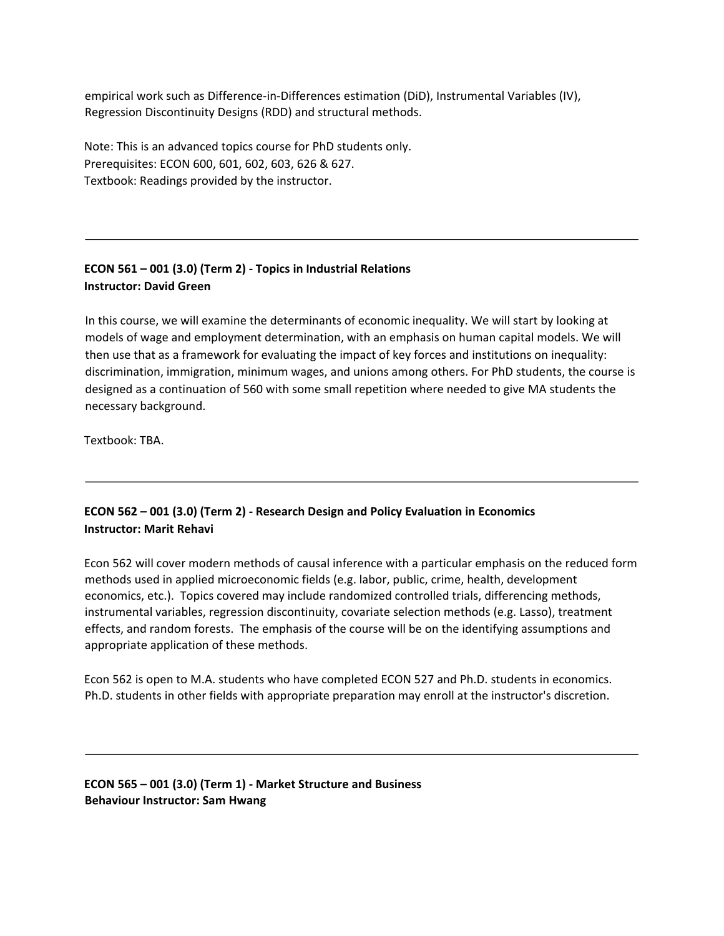empirical work such as Difference-in-Differences estimation (DiD), Instrumental Variables (IV), Regression Discontinuity Designs (RDD) and structural methods.

Note: This is an advanced topics course for PhD students only. Prerequisites: ECON 600, 601, 602, 603, 626 & 627. Textbook: Readings provided by the instructor.

# **ECON 561 – 001 (3.0) (Term 2) - Topics in Industrial Relations Instructor: David Green**

In this course, we will examine the determinants of economic inequality. We will start by looking at models of wage and employment determination, with an emphasis on human capital models. We will then use that as a framework for evaluating the impact of key forces and institutions on inequality: discrimination, immigration, minimum wages, and unions among others. For PhD students, the course is designed as a continuation of 560 with some small repetition where needed to give MA students the necessary background.

Textbook: TBA.

# **ECON 562 – 001 (3.0) (Term 2) - Research Design and Policy Evaluation in Economics Instructor: Marit Rehavi**

Econ 562 will cover modern methods of causal inference with a particular emphasis on the reduced form methods used in applied microeconomic fields (e.g. labor, public, crime, health, development economics, etc.). Topics covered may include randomized controlled trials, differencing methods, instrumental variables, regression discontinuity, covariate selection methods (e.g. Lasso), treatment effects, and random forests. The emphasis of the course will be on the identifying assumptions and appropriate application of these methods.

Econ 562 is open to M.A. students who have completed ECON 527 and Ph.D. students in economics. Ph.D. students in other fields with appropriate preparation may enroll at the instructor's discretion.

**ECON 565 – 001 (3.0) (Term 1) - Market Structure and Business Behaviour Instructor: Sam Hwang**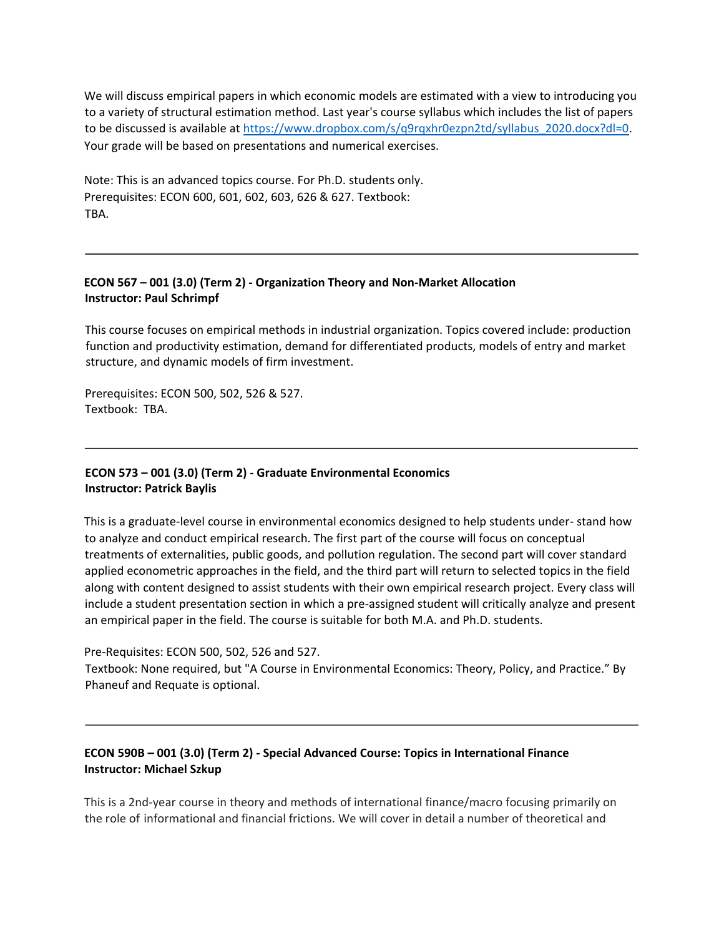We will discuss empirical papers in which economic models are estimated with a view to introducing you to a variety of structural estimation method. Last year's course syllabus which includes the list of papers to be discussed is available a[t https://www.dropbox.com/s/q9rqxhr0ezpn2td/syllabus\\_2020.docx?dl=0.](https://www.dropbox.com/s/q9rqxhr0ezpn2td/syllabus_2020.docx?dl=0) Your grade will be based on presentations and numerical exercises.

Note: This is an advanced topics course. For Ph.D. students only. Prerequisites: ECON 600, 601, 602, 603, 626 & 627. Textbook: TBA.

### **ECON 567 – 001 (3.0) (Term 2) - Organization Theory and Non-Market Allocation Instructor: Paul Schrimpf**

This course focuses on empirical methods in industrial organization. Topics covered include: production function and productivity estimation, demand for differentiated products, models of entry and market structure, and dynamic models of firm investment.

Prerequisites: ECON 500, 502, 526 & 527. Textbook: TBA.

## **ECON 573 – 001 (3.0) (Term 2) - Graduate Environmental Economics Instructor: Patrick Baylis**

This is a graduate-level course in environmental economics designed to help students under- stand how to analyze and conduct empirical research. The first part of the course will focus on conceptual treatments of externalities, public goods, and pollution regulation. The second part will cover standard applied econometric approaches in the field, and the third part will return to selected topics in the field along with content designed to assist students with their own empirical research project. Every class will include a student presentation section in which a pre-assigned student will critically analyze and present an empirical paper in the field. The course is suitable for both M.A. and Ph.D. students.

Pre-Requisites: ECON 500, 502, 526 and 527.

Textbook: None required, but "A Course in Environmental Economics: Theory, Policy, and Practice." By Phaneuf and Requate is optional.

## **ECON 590B – 001 (3.0) (Term 2) - Special Advanced Course: Topics in International Finance Instructor: Michael Szkup**

This is a 2nd-year course in theory and methods of international finance/macro focusing primarily on the role of informational and financial frictions. We will cover in detail a number of theoretical and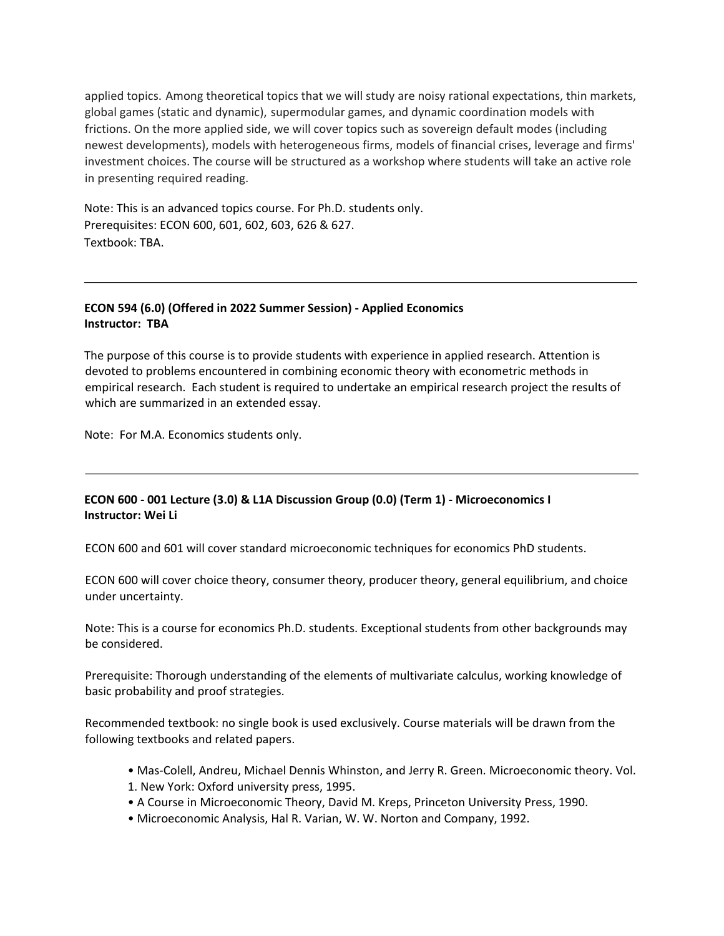applied topics. Among theoretical topics that we will study are noisy rational expectations, thin markets, global games (static and dynamic), supermodular games, and dynamic coordination models with frictions. On the more applied side, we will cover topics such as sovereign default modes (including newest developments), models with heterogeneous firms, models of financial crises, leverage and firms' investment choices. The course will be structured as a workshop where students will take an active role in presenting required reading.

Note: This is an advanced topics course. For Ph.D. students only. Prerequisites: ECON 600, 601, 602, 603, 626 & 627. Textbook: TBA.

#### **ECON 594 (6.0) (Offered in 2022 Summer Session) - Applied Economics Instructor: TBA**

The purpose of this course is to provide students with experience in applied research. Attention is devoted to problems encountered in combining economic theory with econometric methods in empirical research. Each student is required to undertake an empirical research project the results of which are summarized in an extended essay.

Note: For M.A. Economics students only.

#### **ECON 600 - 001 Lecture (3.0) & L1A Discussion Group (0.0) (Term 1) - Microeconomics I Instructor: Wei Li**

ECON 600 and 601 will cover standard microeconomic techniques for economics PhD students.

ECON 600 will cover choice theory, consumer theory, producer theory, general equilibrium, and choice under uncertainty.

Note: This is a course for economics Ph.D. students. Exceptional students from other backgrounds may be considered.

Prerequisite: Thorough understanding of the elements of multivariate calculus, working knowledge of basic probability and proof strategies.

Recommended textbook: no single book is used exclusively. Course materials will be drawn from the following textbooks and related papers.

- Mas-Colell, Andreu, Michael Dennis Whinston, and Jerry R. Green. Microeconomic theory. Vol.
- 1. New York: Oxford university press, 1995.
- A Course in Microeconomic Theory, David M. Kreps, Princeton University Press, 1990.
- Microeconomic Analysis, Hal R. Varian, W. W. Norton and Company, 1992.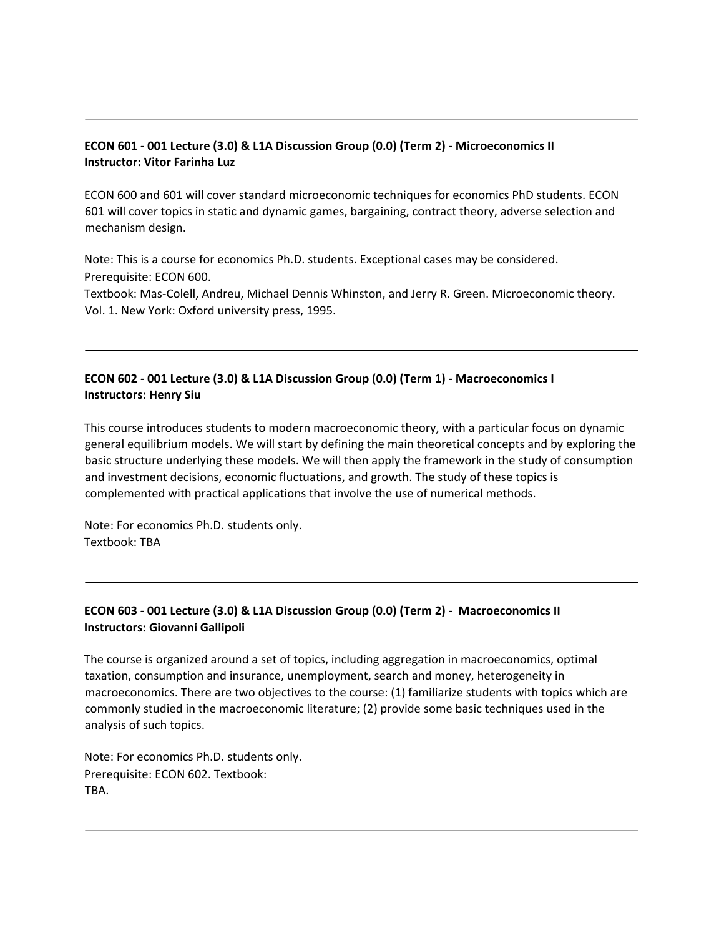### **ECON 601 - 001 Lecture (3.0) & L1A Discussion Group (0.0) (Term 2) - Microeconomics II Instructor: Vitor Farinha Luz**

ECON 600 and 601 will cover standard microeconomic techniques for economics PhD students. ECON 601 will cover topics in static and dynamic games, bargaining, contract theory, adverse selection and mechanism design.

Note: This is a course for economics Ph.D. students. Exceptional cases may be considered. Prerequisite: ECON 600.

Textbook: Mas-Colell, Andreu, Michael Dennis Whinston, and Jerry R. Green. Microeconomic theory. Vol. 1. New York: Oxford university press, 1995.

## **ECON 602 - 001 Lecture (3.0) & L1A Discussion Group (0.0) (Term 1) - Macroeconomics I Instructors: Henry Siu**

This course introduces students to modern macroeconomic theory, with a particular focus on dynamic general equilibrium models. We will start by defining the main theoretical concepts and by exploring the basic structure underlying these models. We will then apply the framework in the study of consumption and investment decisions, economic fluctuations, and growth. The study of these topics is complemented with practical applications that involve the use of numerical methods.

Note: For economics Ph.D. students only. Textbook: TBA

# **ECON 603 - 001 Lecture (3.0) & L1A Discussion Group (0.0) (Term 2) - Macroeconomics II Instructors: Giovanni Gallipoli**

The course is organized around a set of topics, including aggregation in macroeconomics, optimal taxation, consumption and insurance, unemployment, search and money, heterogeneity in macroeconomics. There are two objectives to the course: (1) familiarize students with topics which are commonly studied in the macroeconomic literature; (2) provide some basic techniques used in the analysis of such topics.

Note: For economics Ph.D. students only. Prerequisite: ECON 602. Textbook: TBA.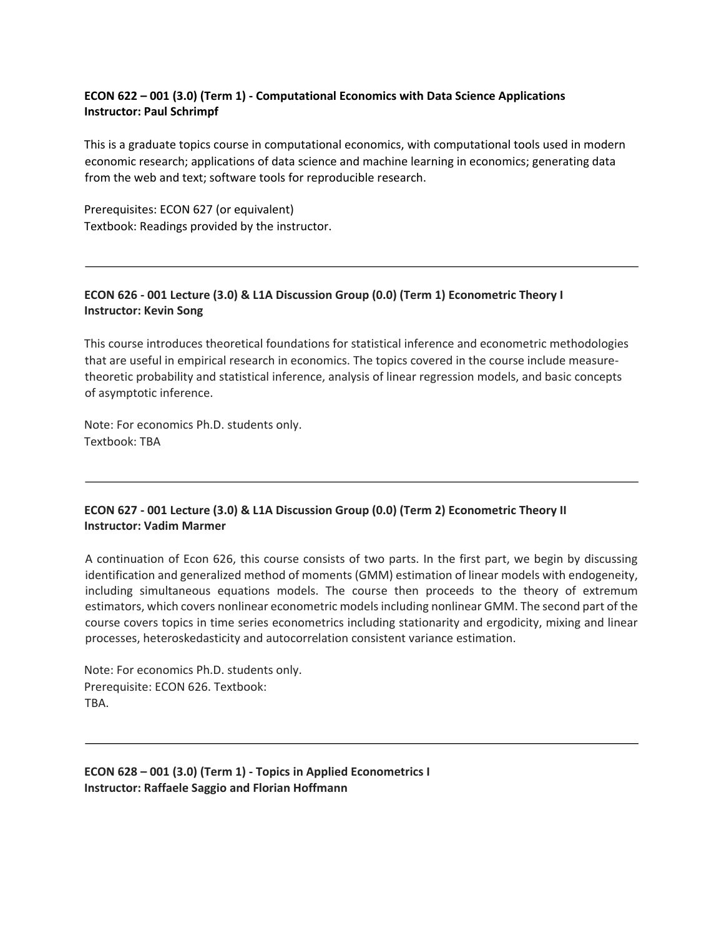## **ECON 622 – 001 (3.0) (Term 1) - Computational Economics with Data Science Applications Instructor: Paul Schrimpf**

This is a graduate topics course in computational economics, with computational tools used in modern economic research; applications of data science and machine learning in economics; generating data from the web and text; software tools for reproducible research.

Prerequisites: ECON 627 (or equivalent) Textbook: Readings provided by the instructor.

## **ECON 626 - 001 Lecture (3.0) & L1A Discussion Group (0.0) (Term 1) Econometric Theory I Instructor: Kevin Song**

This course introduces theoretical foundations for statistical inference and econometric methodologies that are useful in empirical research in economics. The topics covered in the course include measuretheoretic probability and statistical inference, analysis of linear regression models, and basic concepts of asymptotic inference.

Note: For economics Ph.D. students only. Textbook: TBA

## **ECON 627 - 001 Lecture (3.0) & L1A Discussion Group (0.0) (Term 2) Econometric Theory II Instructor: Vadim Marmer**

A continuation of Econ 626, this course consists of two parts. In the first part, we begin by discussing identification and generalized method of moments (GMM) estimation of linear models with endogeneity, including simultaneous equations models. The course then proceeds to the theory of extremum estimators, which covers nonlinear econometric models including nonlinear GMM. The second part of the course covers topics in time series econometrics including stationarity and ergodicity, mixing and linear processes, heteroskedasticity and autocorrelation consistent variance estimation.

Note: For economics Ph.D. students only. Prerequisite: ECON 626. Textbook: TBA.

**ECON 628 – 001 (3.0) (Term 1) - Topics in Applied Econometrics I Instructor: Raffaele Saggio and Florian Hoffmann**